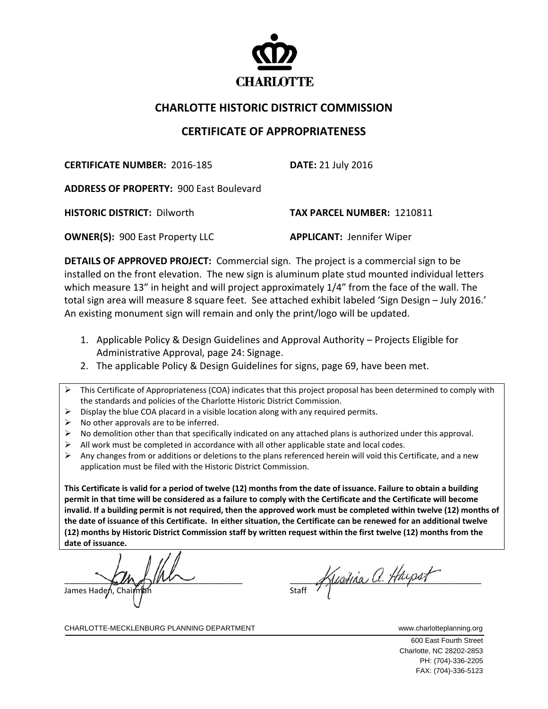

## **CHARLOTTE HISTORIC DISTRICT COMMISSION**

## **CERTIFICATE OF APPROPRIATENESS**

**CERTIFICATE NUMBER:** 2016‐185 **DATE:** 21 July 2016

**ADDRESS OF PROPERTY:** 900 East Boulevard

**HISTORIC DISTRICT:** Dilworth **TAX PARCEL NUMBER:** 1210811

**OWNER(S):** 900 East Property LLC  **APPLICANT:** Jennifer Wiper

**DETAILS OF APPROVED PROJECT:** Commercial sign. The project is a commercial sign to be installed on the front elevation. The new sign is aluminum plate stud mounted individual letters which measure 13" in height and will project approximately 1/4" from the face of the wall. The total sign area will measure 8 square feet. See attached exhibit labeled 'Sign Design – July 2016.' An existing monument sign will remain and only the print/logo will be updated.

- 1. Applicable Policy & Design Guidelines and Approval Authority Projects Eligible for Administrative Approval, page 24: Signage.
- 2. The applicable Policy & Design Guidelines for signs, page 69, have been met.
- $\triangleright$  This Certificate of Appropriateness (COA) indicates that this project proposal has been determined to comply with the standards and policies of the Charlotte Historic District Commission.
- $\triangleright$  Display the blue COA placard in a visible location along with any required permits.
- $\triangleright$  No other approvals are to be inferred.
- $\triangleright$  No demolition other than that specifically indicated on any attached plans is authorized under this approval.
- $\triangleright$  All work must be completed in accordance with all other applicable state and local codes.
- $\triangleright$  Any changes from or additions or deletions to the plans referenced herein will void this Certificate, and a new application must be filed with the Historic District Commission.

This Certificate is valid for a period of twelve (12) months from the date of issuance. Failure to obtain a building permit in that time will be considered as a failure to comply with the Certificate and the Certificate will become invalid. If a building permit is not required, then the approved work must be completed within twelve (12) months of the date of issuance of this Certificate. In either situation, the Certificate can be renewed for an additional twelve (12) months by Historic District Commission staff by written request within the first twelve (12) months from the **date of issuance.** 

 $\begin{array}{ccc} \n\end{array}$  $\sim$   $\sim$   $\sqrt{2}$ James Hadeń, Chai

 $\frac{1}{\text{Start}}$  Hustina a. Haypst

CHARLOTTE-MECKLENBURG PLANNING DEPARTMENT WWWW.charlotteplanning.org

600 East Fourth Street Charlotte, NC 28202-2853 PH: (704)-336-2205 FAX: (704)-336-5123